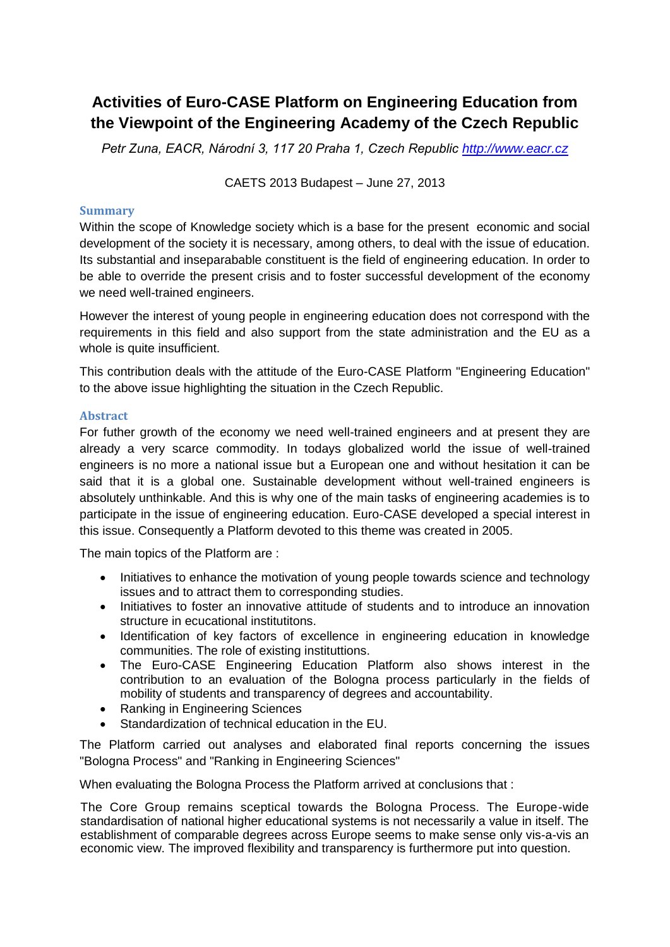## **Activities of Euro-CASE Platform on Engineering Education from the Viewpoint of the Engineering Academy of the Czech Republic**

*Petr Zuna, EACR, Národní 3, 117 20 Praha 1, Czech Republic [http://www.eacr.cz](http://www.eacr.cz/)*

CAETS 2013 Budapest – June 27, 2013

## **Summary**

Within the scope of Knowledge society which is a base for the present economic and social development of the society it is necessary, among others, to deal with the issue of education. Its substantial and inseparabable constituent is the field of engineering education. In order to be able to override the present crisis and to foster successful development of the economy we need well-trained engineers.

However the interest of young people in engineering education does not correspond with the requirements in this field and also support from the state administration and the EU as a whole is quite insufficient.

This contribution deals with the attitude of the Euro-CASE Platform "Engineering Education" to the above issue highlighting the situation in the Czech Republic.

## **Abstract**

For futher growth of the economy we need well-trained engineers and at present they are already a very scarce commodity. In todays globalized world the issue of well-trained engineers is no more a national issue but a European one and without hesitation it can be said that it is a global one. Sustainable development without well-trained engineers is absolutely unthinkable. And this is why one of the main tasks of engineering academies is to participate in the issue of engineering education. Euro-CASE developed a special interest in this issue. Consequently a Platform devoted to this theme was created in 2005.

The main topics of the Platform are :

- Initiatives to enhance the motivation of young people towards science and technology issues and to attract them to corresponding studies.
- Initiatives to foster an innovative attitude of students and to introduce an innovation structure in ecucational institutitons.
- Identification of key factors of excellence in engineering education in knowledge communities. The role of existing instituttions.
- The Euro-CASE Engineering Education Platform also shows interest in the contribution to an evaluation of the Bologna process particularly in the fields of mobility of students and transparency of degrees and accountability.
- Ranking in Engineering Sciences
- Standardization of technical education in the EU.

The Platform carried out analyses and elaborated final reports concerning the issues "Bologna Process" and "Ranking in Engineering Sciences"

When evaluating the Bologna Process the Platform arrived at conclusions that :

The Core Group remains sceptical towards the Bologna Process. The Europe-wide standardisation of national higher educational systems is not necessarily a value in itself. The establishment of comparable degrees across Europe seems to make sense only vis-a-vis an economic view. The improved flexibility and transparency is furthermore put into question.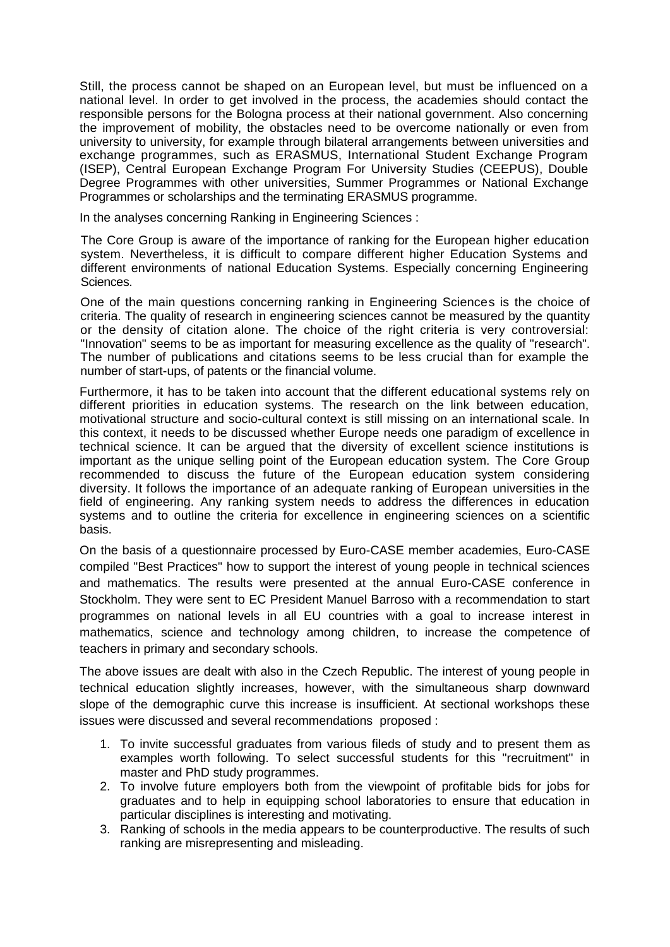Still, the process cannot be shaped on an European level, but must be influenced on a national level. In order to get involved in the process, the academies should contact the responsible persons for the Bologna process at their national government. Also concerning the improvement of mobility, the obstacles need to be overcome nationally or even from university to university, for example through bilateral arrangements between universities and exchange programmes, such as ERASMUS, International Student Exchange Program (ISEP), Central European Exchange Program For University Studies (CEEPUS), Double Degree Programmes with other universities, Summer Programmes or National Exchange Programmes or scholarships and the terminating ERASMUS programme.

In the analyses concerning Ranking in Engineering Sciences :

The Core Group is aware of the importance of ranking for the European higher education system. Nevertheless, it is difficult to compare different higher Education Systems and different environments of national Education Systems. Especially concerning Engineering Sciences.

One of the main questions concerning ranking in Engineering Sciences is the choice of criteria. The quality of research in engineering sciences cannot be measured by the quantity or the density of citation alone. The choice of the right criteria is very controversial: "Innovation" seems to be as important for measuring excellence as the quality of "research". The number of publications and citations seems to be less crucial than for example the number of start-ups, of patents or the financial volume.

Furthermore, it has to be taken into account that the different educational systems rely on different priorities in education systems. The research on the link between education, motivational structure and socio-cultural context is still missing on an international scale. In this context, it needs to be discussed whether Europe needs one paradigm of excellence in technical science. It can be argued that the diversity of excellent science institutions is important as the unique selling point of the European education system. The Core Group recommended to discuss the future of the European education system considering diversity. It follows the importance of an adequate ranking of European universities in the field of engineering. Any ranking system needs to address the differences in education systems and to outline the criteria for excellence in engineering sciences on a scientific basis.

On the basis of a questionnaire processed by Euro-CASE member academies, Euro-CASE compiled "Best Practices" how to support the interest of young people in technical sciences and mathematics. The results were presented at the annual Euro-CASE conference in Stockholm. They were sent to EC President Manuel Barroso with a recommendation to start programmes on national levels in all EU countries with a goal to increase interest in mathematics, science and technology among children, to increase the competence of teachers in primary and secondary schools.

The above issues are dealt with also in the Czech Republic. The interest of young people in technical education slightly increases, however, with the simultaneous sharp downward slope of the demographic curve this increase is insufficient. At sectional workshops these issues were discussed and several recommendations proposed :

- 1. To invite successful graduates from various fileds of study and to present them as examples worth following. To select successful students for this "recruitment" in master and PhD study programmes.
- 2. To involve future employers both from the viewpoint of profitable bids for jobs for graduates and to help in equipping school laboratories to ensure that education in particular disciplines is interesting and motivating.
- 3. Ranking of schools in the media appears to be counterproductive. The results of such ranking are misrepresenting and misleading.